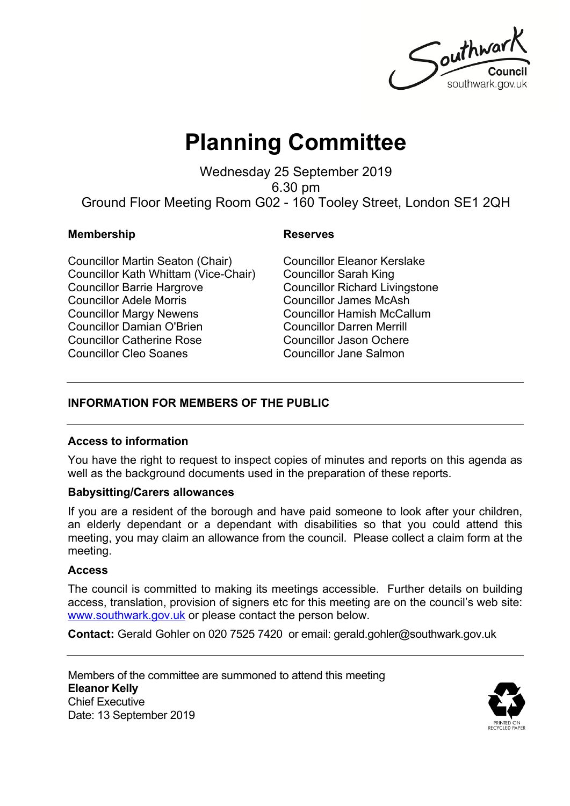Southwar southwark.gov.uk

# **Planning Committee**

Wednesday 25 September 2019 6.30 pm Ground Floor Meeting Room G02 - 160 Tooley Street, London SE1 2QH

#### **Membership Reserves**

Councillor Martin Seaton (Chair) Councillor Kath Whittam (Vice-Chair) Councillor Barrie Hargrove Councillor Adele Morris Councillor Margy Newens Councillor Damian O'Brien Councillor Catherine Rose Councillor Cleo Soanes

Councillor Eleanor Kerslake Councillor Sarah King Councillor Richard Livingstone Councillor James McAsh Councillor Hamish McCallum Councillor Darren Merrill Councillor Jason Ochere Councillor Jane Salmon

### **INFORMATION FOR MEMBERS OF THE PUBLIC**

#### **Access to information**

You have the right to request to inspect copies of minutes and reports on this agenda as well as the background documents used in the preparation of these reports.

### **Babysitting/Carers allowances**

If you are a resident of the borough and have paid someone to look after your children, an elderly dependant or a dependant with disabilities so that you could attend this meeting, you may claim an allowance from the council. Please collect a claim form at the meeting.

#### **Access**

The council is committed to making its meetings accessible. Further details on building access, translation, provision of signers etc for this meeting are on the council's web site: [www.southwark.gov.uk](http://www.southwark.gov.uk/Public/Home.aspx) or please contact the person below.

**Contact:** Gerald Gohler on 020 7525 7420 or email: gerald.gohler@southwark.gov.uk

Members of the committee are summoned to attend this meeting **Eleanor Kelly** Chief Executive Date: 13 September 2019

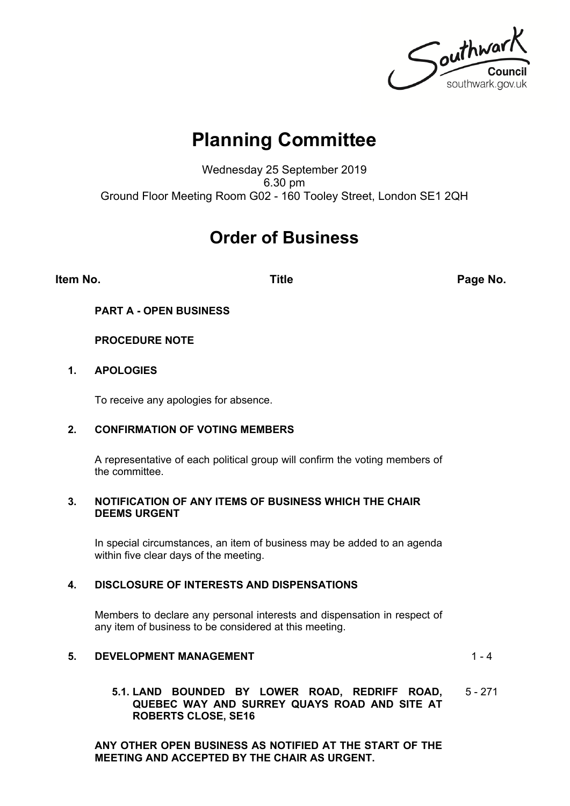Southwark southwark.gov.uk

## **Planning Committee**

Wednesday 25 September 2019 6.30 pm Ground Floor Meeting Room G02 - 160 Tooley Street, London SE1 2QH

### **Order of Business**

**Item No. Title Page No.**

**PART A - OPEN BUSINESS**

#### **PROCEDURE NOTE**

#### **1. APOLOGIES**

To receive any apologies for absence.

#### **2. CONFIRMATION OF VOTING MEMBERS**

A representative of each political group will confirm the voting members of the committee.

#### **3. NOTIFICATION OF ANY ITEMS OF BUSINESS WHICH THE CHAIR DEEMS URGENT**

In special circumstances, an item of business may be added to an agenda within five clear days of the meeting.

#### **4. DISCLOSURE OF INTERESTS AND DISPENSATIONS**

Members to declare any personal interests and dispensation in respect of any item of business to be considered at this meeting.

#### **5. DEVELOPMENT MANAGEMENT 1-4**

#### **5.1. LAND BOUNDED BY LOWER ROAD, REDRIFF ROAD, QUEBEC WAY AND SURREY QUAYS ROAD AND SITE AT ROBERTS CLOSE, SE16** 5 - 271

**ANY OTHER OPEN BUSINESS AS NOTIFIED AT THE START OF THE MEETING AND ACCEPTED BY THE CHAIR AS URGENT.**